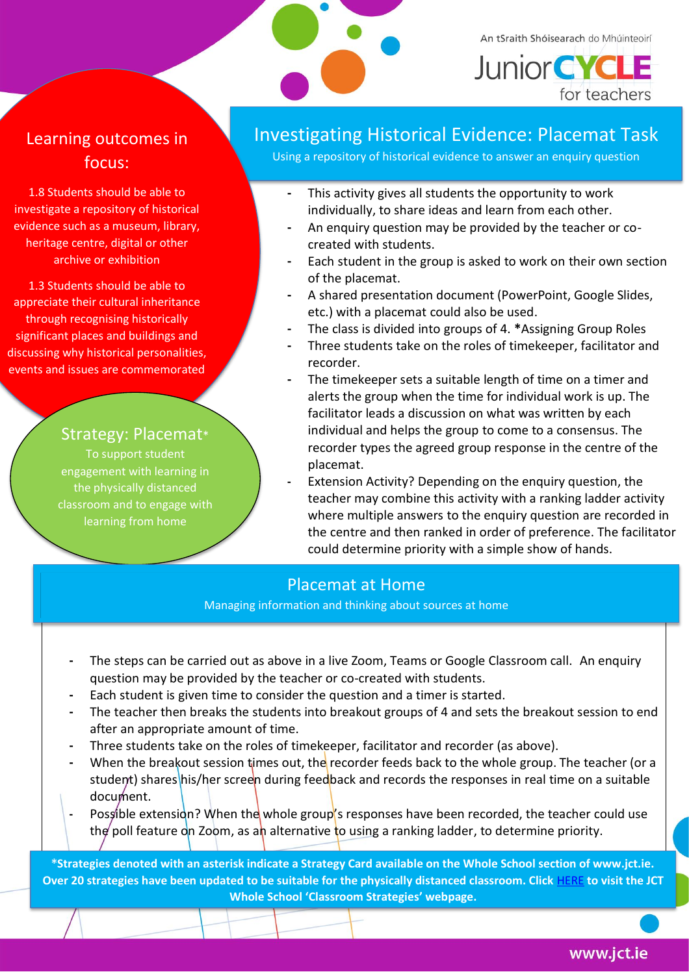

An tSraith Shóisearach do Mhúinteoirí

**Junior CYCLE** for teachers

## Learning outcomes in focus:

1.8 Students should be able to investigate a repository of historical evidence such as a museum, library, heritage centre, digital or other archive or exhibition

1.3 Students should be able to appreciate their cultural inheritance through recognising historically significant places and buildings and discussing why historical personalities, events and issues are commemorated

### Strategy: Placemat\*

To support student engagement with learning in the physically distanced classroom and to engage with learning from home

## Investigating Historical Evidence: Placemat Task

Using a repository of historical evidence to answer an enquiry question

- **-** This activity gives all students the opportunity to work individually, to share ideas and learn from each other.
- **-** An enquiry question may be provided by the teacher or cocreated with students.
- **-** Each student in the group is asked to work on their own section of the placemat.
- **-** A shared presentation document (PowerPoint, Google Slides, etc.) with a placemat could also be used.
- **-** The class is divided into groups of 4. **\***Assigning Group Roles
- **-** Three students take on the roles of timekeeper, facilitator and recorder.
- **-** The timekeeper sets a suitable length of time on a timer and alerts the group when the time for individual work is up. The facilitator leads a discussion on what was written by each individual and helps the group to come to a consensus. The recorder types the agreed group response in the centre of the placemat.
- **-** Extension Activity? Depending on the enquiry question, the teacher may combine this activity with a ranking ladder activity where multiple answers to the enquiry question are recorded in the centre and then ranked in order of preference. The facilitator could determine priority with a simple show of hands.

## Placemat at Home

Managing information and thinking about sources at home

- **-** The steps can be carried out as above in a live Zoom, Teams or Google Classroom call. An enquiry question may be provided by the teacher or co-created with students.
- **-** Each student is given time to consider the question and a timer is started.
- **-** The teacher then breaks the students into breakout groups of 4 and sets the breakout session to end after an appropriate amount of time.
- **-** Three students take on the roles of timekeeper, facilitator and recorder (as above).
- **-** When the breakout session times out, the recorder feeds back to the whole group. The teacher (or a student) shares his/her screen during feedback and records the responses in real time on a suitable document.
- **-** Possible extension? When the whole group's responses have been recorded, the teacher could use the poll feature on Zoom, as an alternative to using a ranking ladder, to determine priority.

**\*Strategies denoted with an asterisk indicate a Strategy Card available on the Whole School section of www.jct.ie. Over 20 strategies have been updated to be suitable for the physically distanced classroom. Click** [HERE](https://www.jct.ie/wholeschool/classroom_strategies) **to visit the JCT Whole School 'Classroom Strategies' webpage.**

www.jct.ie